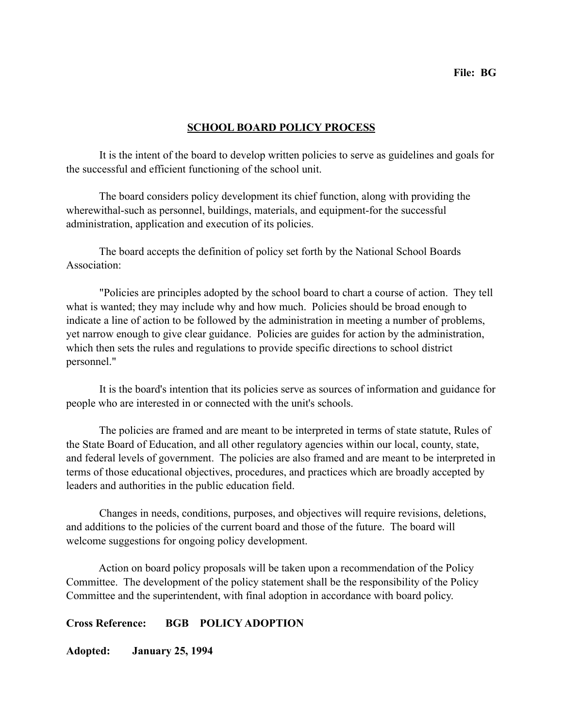## **SCHOOL BOARD POLICY PROCESS**

 It is the intent of the board to develop written policies to serve as guidelines and goals for the successful and efficient functioning of the school unit.

 The board considers policy development its chief function, along with providing the wherewithal-such as personnel, buildings, materials, and equipment-for the successful administration, application and execution of its policies.

 The board accepts the definition of policy set forth by the National School Boards Association:

 "Policies are principles adopted by the school board to chart a course of action. They tell what is wanted; they may include why and how much. Policies should be broad enough to indicate a line of action to be followed by the administration in meeting a number of problems, yet narrow enough to give clear guidance. Policies are guides for action by the administration, which then sets the rules and regulations to provide specific directions to school district personnel."

 It is the board's intention that its policies serve as sources of information and guidance for people who are interested in or connected with the unit's schools.

 The policies are framed and are meant to be interpreted in terms of state statute, Rules of the State Board of Education, and all other regulatory agencies within our local, county, state, and federal levels of government. The policies are also framed and are meant to be interpreted in terms of those educational objectives, procedures, and practices which are broadly accepted by leaders and authorities in the public education field.

 Changes in needs, conditions, purposes, and objectives will require revisions, deletions, and additions to the policies of the current board and those of the future. The board will welcome suggestions for ongoing policy development.

 Action on board policy proposals will be taken upon a recommendation of the Policy Committee. The development of the policy statement shall be the responsibility of the Policy Committee and the superintendent, with final adoption in accordance with board policy.

## **Cross Reference: BGB POLICY ADOPTION**

**Adopted: January 25, 1994**